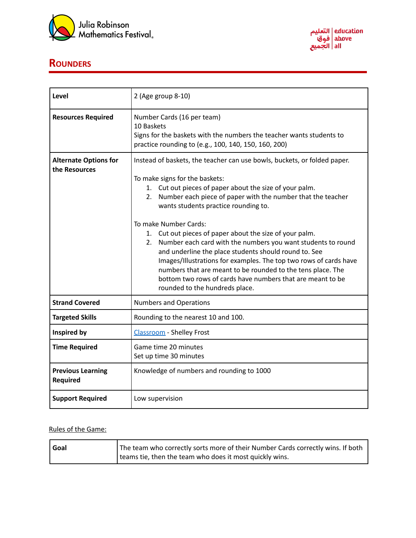



## **ROUNDERS**

| Level                                         | 2 (Age group 8-10)                                                                                                                                                                                                                                                                                                                                                                                                                                                                                                                                                                                                                                                                                                                        |
|-----------------------------------------------|-------------------------------------------------------------------------------------------------------------------------------------------------------------------------------------------------------------------------------------------------------------------------------------------------------------------------------------------------------------------------------------------------------------------------------------------------------------------------------------------------------------------------------------------------------------------------------------------------------------------------------------------------------------------------------------------------------------------------------------------|
| <b>Resources Required</b>                     | Number Cards (16 per team)<br>10 Baskets<br>Signs for the baskets with the numbers the teacher wants students to<br>practice rounding to (e.g., 100, 140, 150, 160, 200)                                                                                                                                                                                                                                                                                                                                                                                                                                                                                                                                                                  |
| <b>Alternate Options for</b><br>the Resources | Instead of baskets, the teacher can use bowls, buckets, or folded paper.<br>To make signs for the baskets:<br>1. Cut out pieces of paper about the size of your palm.<br>Number each piece of paper with the number that the teacher<br>2.<br>wants students practice rounding to.<br>To make Number Cards:<br>1. Cut out pieces of paper about the size of your palm.<br>Number each card with the numbers you want students to round<br>2.<br>and underline the place students should round to. See<br>Images/Illustrations for examples. The top two rows of cards have<br>numbers that are meant to be rounded to the tens place. The<br>bottom two rows of cards have numbers that are meant to be<br>rounded to the hundreds place. |
| <b>Strand Covered</b>                         | <b>Numbers and Operations</b>                                                                                                                                                                                                                                                                                                                                                                                                                                                                                                                                                                                                                                                                                                             |
| <b>Targeted Skills</b>                        | Rounding to the nearest 10 and 100.                                                                                                                                                                                                                                                                                                                                                                                                                                                                                                                                                                                                                                                                                                       |
| Inspired by                                   | Classroom - Shelley Frost                                                                                                                                                                                                                                                                                                                                                                                                                                                                                                                                                                                                                                                                                                                 |
| <b>Time Required</b>                          | Game time 20 minutes<br>Set up time 30 minutes                                                                                                                                                                                                                                                                                                                                                                                                                                                                                                                                                                                                                                                                                            |
| <b>Previous Learning</b><br><b>Required</b>   | Knowledge of numbers and rounding to 1000                                                                                                                                                                                                                                                                                                                                                                                                                                                                                                                                                                                                                                                                                                 |
| <b>Support Required</b>                       | Low supervision                                                                                                                                                                                                                                                                                                                                                                                                                                                                                                                                                                                                                                                                                                                           |

## Rules of the Game:

| Goal | The team who correctly sorts more of their Number Cards correctly wins. If both |
|------|---------------------------------------------------------------------------------|
|      | teams tie, then the team who does it most quickly wins.                         |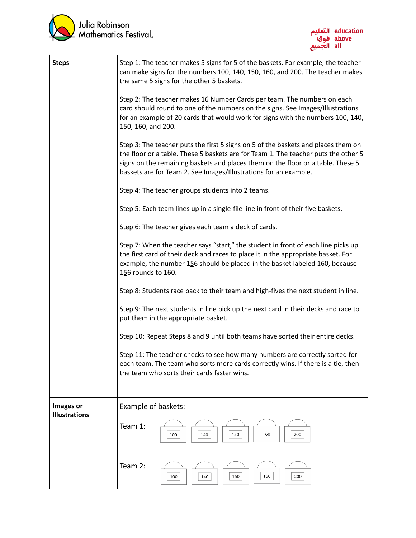



| <b>Steps</b>                      | Step 1: The teacher makes 5 signs for 5 of the baskets. For example, the teacher<br>can make signs for the numbers 100, 140, 150, 160, and 200. The teacher makes<br>the same 5 signs for the other 5 baskets.                                                                                                                 |
|-----------------------------------|--------------------------------------------------------------------------------------------------------------------------------------------------------------------------------------------------------------------------------------------------------------------------------------------------------------------------------|
|                                   | Step 2: The teacher makes 16 Number Cards per team. The numbers on each<br>card should round to one of the numbers on the signs. See Images/Illustrations<br>for an example of 20 cards that would work for signs with the numbers 100, 140,<br>150, 160, and 200.                                                             |
|                                   | Step 3: The teacher puts the first 5 signs on 5 of the baskets and places them on<br>the floor or a table. These 5 baskets are for Team 1. The teacher puts the other 5<br>signs on the remaining baskets and places them on the floor or a table. These 5<br>baskets are for Team 2. See Images/Illustrations for an example. |
|                                   | Step 4: The teacher groups students into 2 teams.                                                                                                                                                                                                                                                                              |
|                                   | Step 5: Each team lines up in a single-file line in front of their five baskets.                                                                                                                                                                                                                                               |
|                                   | Step 6: The teacher gives each team a deck of cards.                                                                                                                                                                                                                                                                           |
|                                   | Step 7: When the teacher says "start," the student in front of each line picks up<br>the first card of their deck and races to place it in the appropriate basket. For<br>example, the number 156 should be placed in the basket labeled 160, because<br>156 rounds to 160.                                                    |
|                                   | Step 8: Students race back to their team and high-fives the next student in line.                                                                                                                                                                                                                                              |
|                                   | Step 9: The next students in line pick up the next card in their decks and race to<br>put them in the appropriate basket.                                                                                                                                                                                                      |
|                                   | Step 10: Repeat Steps 8 and 9 until both teams have sorted their entire decks.                                                                                                                                                                                                                                                 |
|                                   | Step 11: The teacher checks to see how many numbers are correctly sorted for<br>each team. The team who sorts more cards correctly wins. If there is a tie, then<br>the team who sorts their cards faster wins.                                                                                                                |
| Images or<br><b>Illustrations</b> | Example of baskets:                                                                                                                                                                                                                                                                                                            |
|                                   | Team 1:<br>160<br>150<br>200<br>100<br>140                                                                                                                                                                                                                                                                                     |
|                                   | Team 2:<br>160<br>150<br>200<br>100<br>140                                                                                                                                                                                                                                                                                     |